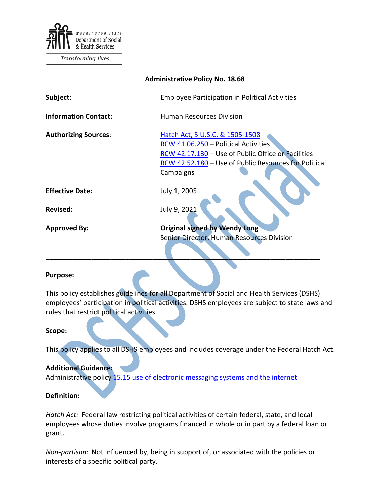

Transforming lives

| <b>Administrative Policy No. 18.68</b> |                                                                                                                                                                                                     |
|----------------------------------------|-----------------------------------------------------------------------------------------------------------------------------------------------------------------------------------------------------|
| Subject:                               | <b>Employee Participation in Political Activities</b>                                                                                                                                               |
| <b>Information Contact:</b>            | <b>Human Resources Division</b>                                                                                                                                                                     |
| <b>Authorizing Sources:</b>            | Hatch Act, 5 U.S.C. & 1505-1508<br>RCW 41.06.250 - Political Activities<br>RCW 42.17.130 - Use of Public Office or Facilities<br>RCW 42.52.180 - Use of Public Resources for Political<br>Campaigns |
| <b>Effective Date:</b>                 | July 1, 2005                                                                                                                                                                                        |
| <b>Revised:</b>                        | July 9, 2021                                                                                                                                                                                        |
| <b>Approved By:</b>                    | <b>Original signed by Wendy Long</b><br><b>Senior Director, Human Resources Division</b>                                                                                                            |

## **Purpose:**

This policy establishes guidelines for all Department of Social and Health Services (DSHS) employees' participation in political activities. DSHS employees are subject to state laws and rules that restrict political activities.

## **Scope:**

This policy applies to all DSHS employees and includes coverage under the Federal Hatch Act.

## **Additional Guidance:**

Administrative policy [15.15 use of electronic messaging systems and the internet](http://one.dshs.wa.lcl/Policies/Administrative/DSHS-AP-15-15.pdf)

## **Definition:**

*Hatch Act:* Federal law restricting political activities of certain federal, state, and local employees whose duties involve programs financed in whole or in part by a federal loan or grant.

*Non-partisan:* Not influenced by, being in support of, or associated with the policies or interests of a specific political party.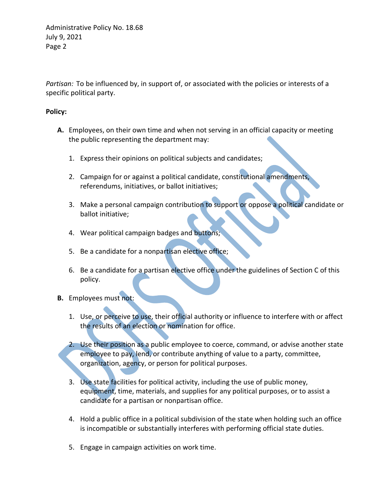Administrative Policy No. 18.68 July 9, 2021 Page 2

*Partisan:* To be influenced by, in support of, or associated with the policies or interests of a specific political party.

# **Policy:**

- **A.** Employees, on their own time and when not serving in an official capacity or meeting the public representing the department may:
	- 1. Express their opinions on political subjects and candidates;
	- 2. Campaign for or against a political candidate, constitutional amendments, referendums, initiatives, or ballot initiatives;
	- 3. Make a personal campaign contribution to support or oppose a political candidate or ballot initiative;
	- 4. Wear political campaign badges and buttons;
	- 5. Be a candidate for a nonpartisan elective office;
	- 6. Be a candidate for a partisan elective office under the guidelines of Section C of this policy.
- **B.** Employees must not:
	- 1. Use, or perceive to use, their official authority or influence to interfere with or affect the results of an election or nomination for office.
	- 2. Use their position as a public employee to coerce, command, or advise another state employee to pay, lend, or contribute anything of value to a party, committee, organization, agency, or person for political purposes.
	- 3. Use state facilities for political activity, including the use of public money, equipment, time, materials, and supplies for any political purposes, or to assist a candidate for a partisan or nonpartisan office.
	- 4. Hold a public office in a political subdivision of the state when holding such an office is incompatible or substantially interferes with performing official state duties.
	- 5. Engage in campaign activities on work time.